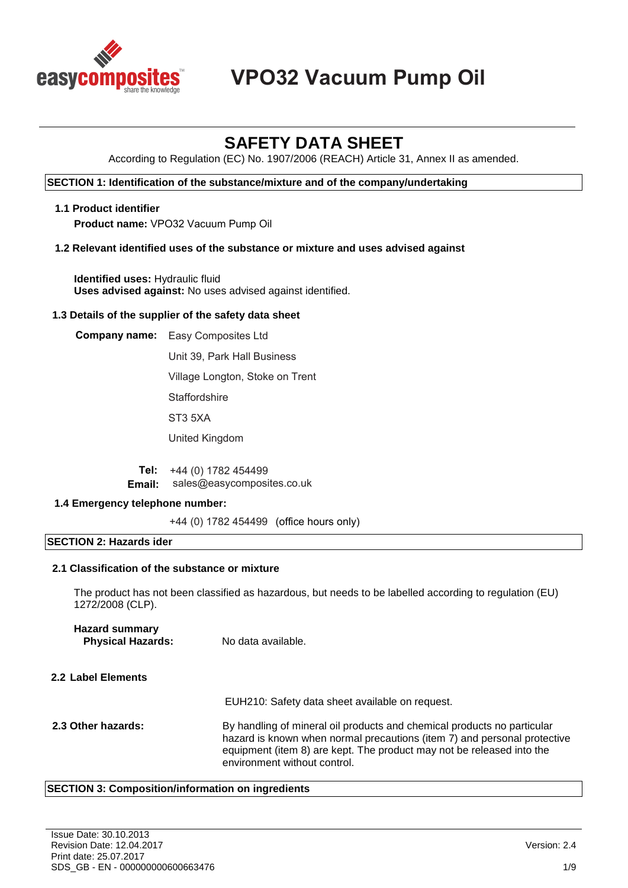

# **VPO32 Vacuum Pump Oil**

# **SAFETY DATA SHEET**

According to Regulation (EC) No. 1907/2006 (REACH) Article 31, Annex II as amended.

#### **SECTION 1: Identification of the substance/mixture and of the company/undertaking**

#### **1.1 Product identifier**

**Product name:** VPO32 Vacuum Pump Oil

#### **1.2 Relevant identified uses of the substance or mixture and uses advised against**

**Identified uses:** Hydraulic fluid **Uses advised against:** No uses advised against identified.

#### **1.3 Details of the supplier of the safety data sheet**

**Company name:** Easy Composites Ltd Unit 39, Park Hall Business Village Longton, Stoke on Trent **Staffordshire** ST3 5XA United Kingdom

> **Tel: Email:** +44 (0) 1782 454499 sales@easycomposites.co.uk

#### **1.4 Emergency telephone number:**

+44 (0) 1782 454499 (office hours only)

#### **SECTION 2: Hazards ider**

#### **2.1 Classification of the substance or mixture**

The product has not been classified as hazardous, but needs to be labelled according to regulation (EU) 1272/2008 (CLP).

| <b>Hazard summary</b><br><b>Physical Hazards:</b> | No data available.                                                                                                                                                                                                                                           |
|---------------------------------------------------|--------------------------------------------------------------------------------------------------------------------------------------------------------------------------------------------------------------------------------------------------------------|
| 2.2 Label Elements                                |                                                                                                                                                                                                                                                              |
|                                                   | EUH210: Safety data sheet available on request.                                                                                                                                                                                                              |
| 2.3 Other hazards:                                | By handling of mineral oil products and chemical products no particular<br>hazard is known when normal precautions (item 7) and personal protective<br>equipment (item 8) are kept. The product may not be released into the<br>environment without control. |

#### **SECTION 3: Composition/information on ingredients**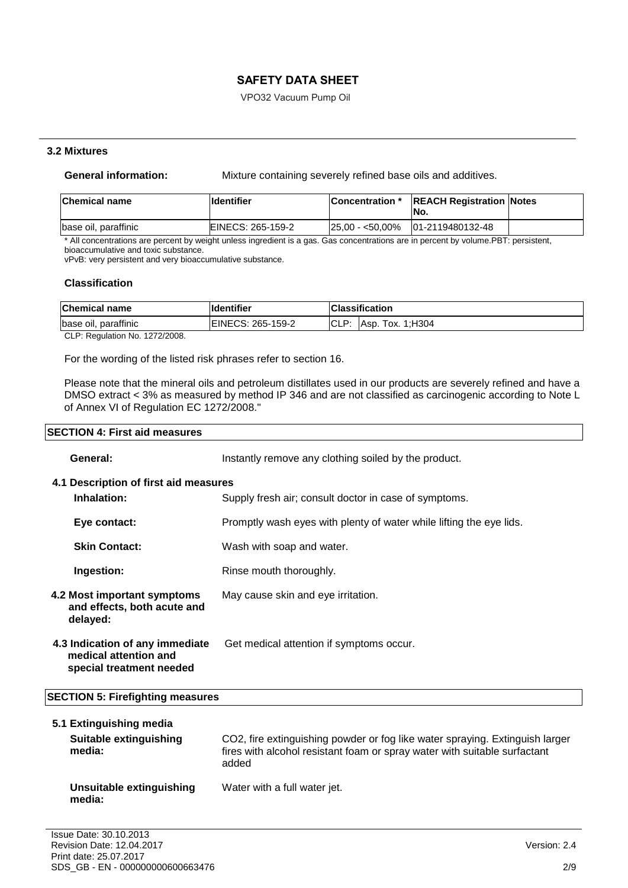VPO32 Vacuum Pump Oil

#### **3.2 Mixtures**

**General information:** Mixture containing severely refined base oils and additives.

| <b>Chemical name</b> | <b>Ildentifier</b> | <b>Concentration</b> * | <b>REACH Registration Notes</b><br>No. |  |
|----------------------|--------------------|------------------------|----------------------------------------|--|
| base oil, paraffinic | EINECS: 265-159-2  |                        | $ 25.00 - 50.00\% 01-2119480132-48$    |  |

\* All concentrations are percent by weight unless ingredient is a gas. Gas concentrations are in percent by volume.PBT: persistent, bioaccumulative and toxic substance.

vPvB: very persistent and very bioaccumulative substance.

#### **Classification**

| <b>Chemical name</b>          | <b>Identifier</b>         |          | <b>Classification</b> |
|-------------------------------|---------------------------|----------|-----------------------|
| base oil, paraffinic          | <b>IEINECS: 265-159-2</b> | $ICLP^+$ | Asp. Tox. 1: H304     |
| CLD: Beaulation No. 1979/2000 |                           |          |                       |

CLP: Regulation No. 1272/2008.

For the wording of the listed risk phrases refer to section 16.

Please note that the mineral oils and petroleum distillates used in our products are severely refined and have a DMSO extract < 3% as measured by method IP 346 and are not classified as carcinogenic according to Note L of Annex VI of Regulation EC 1272/2008."

#### **SECTION 4: First aid measures**

| General:                                                                             | Instantly remove any clothing soiled by the product.                |
|--------------------------------------------------------------------------------------|---------------------------------------------------------------------|
| 4.1 Description of first aid measures                                                |                                                                     |
| Inhalation:                                                                          | Supply fresh air; consult doctor in case of symptoms.               |
| Eye contact:                                                                         | Promptly wash eyes with plenty of water while lifting the eye lids. |
| <b>Skin Contact:</b>                                                                 | Wash with soap and water.                                           |
| Ingestion:                                                                           | Rinse mouth thoroughly.                                             |
| 4.2 Most important symptoms<br>and effects, both acute and<br>delayed:               | May cause skin and eye irritation.                                  |
| 4.3 Indication of any immediate<br>medical attention and<br>special treatment needed | Get medical attention if symptoms occur.                            |
| <b>SECTION 5: Firefighting measures</b>                                              |                                                                     |

| 5.1 Extinguishing media          |                          |                                                                                                                                                                    |
|----------------------------------|--------------------------|--------------------------------------------------------------------------------------------------------------------------------------------------------------------|
| Suitable extinguishing<br>media: |                          | CO2, fire extinguishing powder or fog like water spraying. Extinguish larger<br>fires with alcohol resistant foam or spray water with suitable surfactant<br>added |
| media:                           | Unsuitable extinguishing | Water with a full water jet.                                                                                                                                       |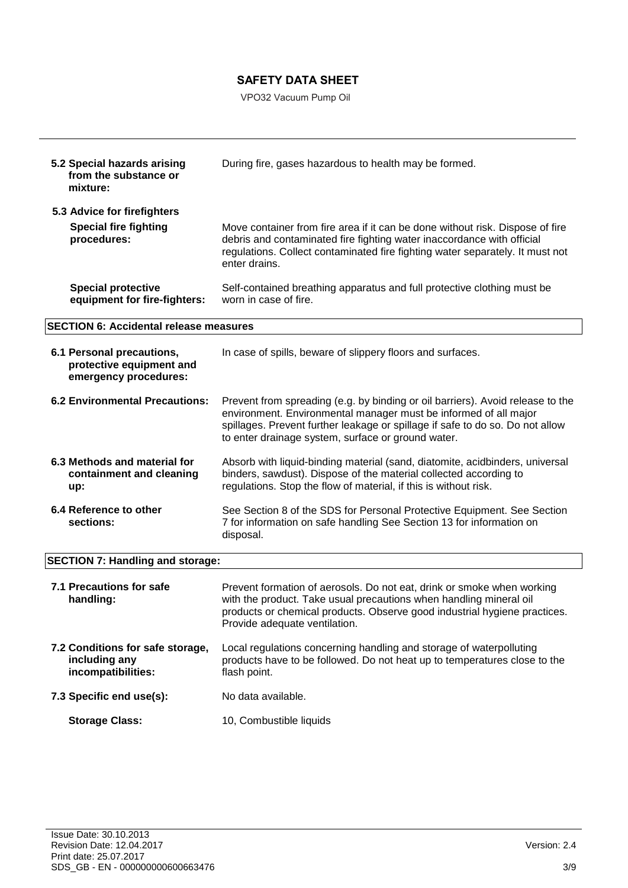VPO32 Vacuum Pump Oil

| 5.2 Special hazards arising<br>from the substance or<br>mixture:               | During fire, gases hazardous to health may be formed.                                                                                                                                                                                                                                     |
|--------------------------------------------------------------------------------|-------------------------------------------------------------------------------------------------------------------------------------------------------------------------------------------------------------------------------------------------------------------------------------------|
| 5.3 Advice for firefighters<br><b>Special fire fighting</b><br>procedures:     | Move container from fire area if it can be done without risk. Dispose of fire<br>debris and contaminated fire fighting water inaccordance with official<br>regulations. Collect contaminated fire fighting water separately. It must not<br>enter drains.                                 |
| <b>Special protective</b><br>equipment for fire-fighters:                      | Self-contained breathing apparatus and full protective clothing must be<br>worn in case of fire.                                                                                                                                                                                          |
| <b>SECTION 6: Accidental release measures</b>                                  |                                                                                                                                                                                                                                                                                           |
| 6.1 Personal precautions,<br>protective equipment and<br>emergency procedures: | In case of spills, beware of slippery floors and surfaces.                                                                                                                                                                                                                                |
| <b>6.2 Environmental Precautions:</b>                                          | Prevent from spreading (e.g. by binding or oil barriers). Avoid release to the<br>environment. Environmental manager must be informed of all major<br>spillages. Prevent further leakage or spillage if safe to do so. Do not allow<br>to enter drainage system, surface or ground water. |
| 6.3 Methods and material for<br>containment and cleaning<br>up:                | Absorb with liquid-binding material (sand, diatomite, acidbinders, universal<br>binders, sawdust). Dispose of the material collected according to<br>regulations. Stop the flow of material, if this is without risk.                                                                     |
| 6.4 Reference to other<br>sections:                                            | See Section 8 of the SDS for Personal Protective Equipment. See Section<br>7 for information on safe handling See Section 13 for information on<br>disposal.                                                                                                                              |
| <b>SECTION 7: Handling and storage:</b>                                        |                                                                                                                                                                                                                                                                                           |
| 7.1 Precautions for safe<br>handling:                                          | Prevent formation of aerosols. Do not eat, drink or smoke when working<br>with the product. Take usual precautions when handling mineral oil<br>products or chemical products. Observe good industrial hygiene practices.<br>Provide adequate ventilation.                                |
| 7.2 Conditions for safe storage,<br>including any<br>incompatibilities:        | Local regulations concerning handling and storage of waterpolluting<br>products have to be followed. Do not heat up to temperatures close to the<br>flash point.                                                                                                                          |
| 7.3 Specific end use(s):                                                       | No data available.                                                                                                                                                                                                                                                                        |
| <b>Storage Class:</b>                                                          | 10, Combustible liquids                                                                                                                                                                                                                                                                   |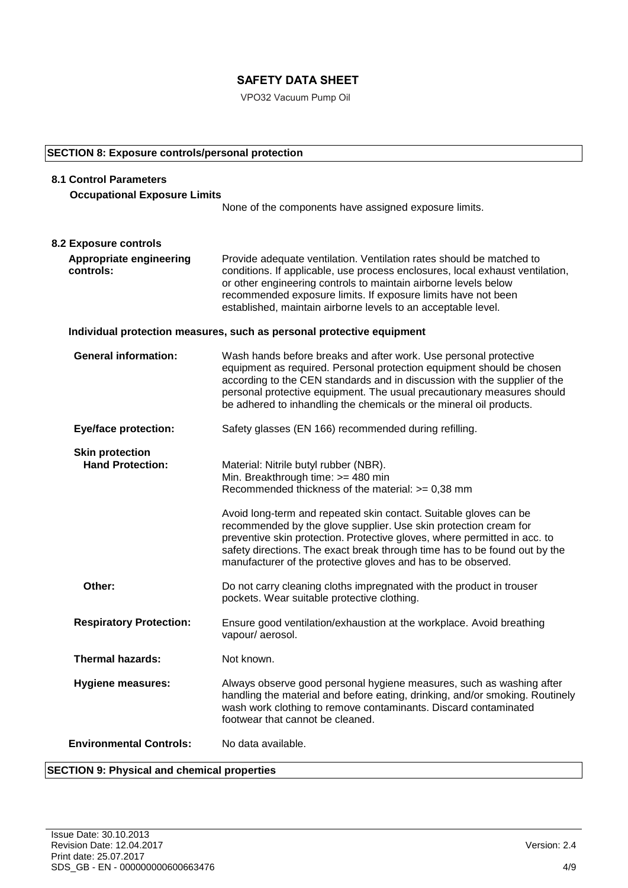VPO32 Vacuum Pump Oil

### **SECTION 8: Exposure controls/personal protection**

| <b>8.1 Control Parameters</b>                     |                                                                                                                                                                                                                                                                                                                                                                         |
|---------------------------------------------------|-------------------------------------------------------------------------------------------------------------------------------------------------------------------------------------------------------------------------------------------------------------------------------------------------------------------------------------------------------------------------|
| <b>Occupational Exposure Limits</b>               |                                                                                                                                                                                                                                                                                                                                                                         |
|                                                   | None of the components have assigned exposure limits.                                                                                                                                                                                                                                                                                                                   |
|                                                   |                                                                                                                                                                                                                                                                                                                                                                         |
| <b>8.2 Exposure controls</b>                      |                                                                                                                                                                                                                                                                                                                                                                         |
| <b>Appropriate engineering</b><br>controls:       | Provide adequate ventilation. Ventilation rates should be matched to<br>conditions. If applicable, use process enclosures, local exhaust ventilation,<br>or other engineering controls to maintain airborne levels below<br>recommended exposure limits. If exposure limits have not been<br>established, maintain airborne levels to an acceptable level.              |
|                                                   | Individual protection measures, such as personal protective equipment                                                                                                                                                                                                                                                                                                   |
| <b>General information:</b>                       | Wash hands before breaks and after work. Use personal protective<br>equipment as required. Personal protection equipment should be chosen<br>according to the CEN standards and in discussion with the supplier of the<br>personal protective equipment. The usual precautionary measures should<br>be adhered to inhandling the chemicals or the mineral oil products. |
| <b>Eye/face protection:</b>                       | Safety glasses (EN 166) recommended during refilling.                                                                                                                                                                                                                                                                                                                   |
| <b>Skin protection</b><br><b>Hand Protection:</b> | Material: Nitrile butyl rubber (NBR).<br>Min. Breakthrough time: >= 480 min<br>Recommended thickness of the material: $>= 0,38$ mm                                                                                                                                                                                                                                      |
|                                                   | Avoid long-term and repeated skin contact. Suitable gloves can be<br>recommended by the glove supplier. Use skin protection cream for<br>preventive skin protection. Protective gloves, where permitted in acc. to<br>safety directions. The exact break through time has to be found out by the<br>manufacturer of the protective gloves and has to be observed.       |
| Other:                                            | Do not carry cleaning cloths impregnated with the product in trouser<br>pockets. Wear suitable protective clothing.                                                                                                                                                                                                                                                     |
| <b>Respiratory Protection:</b>                    | Ensure good ventilation/exhaustion at the workplace. Avoid breathing<br>vapour/aerosol.                                                                                                                                                                                                                                                                                 |
| <b>Thermal hazards:</b>                           | Not known.                                                                                                                                                                                                                                                                                                                                                              |
| <b>Hygiene measures:</b>                          | Always observe good personal hygiene measures, such as washing after<br>handling the material and before eating, drinking, and/or smoking. Routinely<br>wash work clothing to remove contaminants. Discard contaminated<br>footwear that cannot be cleaned.                                                                                                             |
| <b>Environmental Controls:</b>                    | No data available.                                                                                                                                                                                                                                                                                                                                                      |

## **SECTION 9: Physical and chemical properties**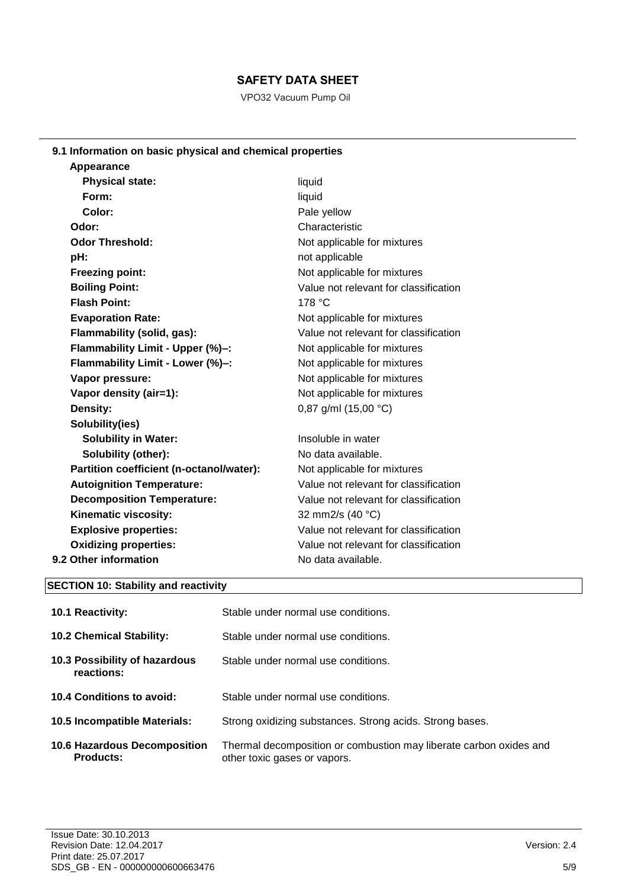VPO32 Vacuum Pump Oil

# **9.1 Information on basic physical and chemical properties**

| liquid<br>liquid<br>Pale yellow       |
|---------------------------------------|
|                                       |
|                                       |
|                                       |
| Characteristic                        |
| Not applicable for mixtures           |
| not applicable                        |
| Not applicable for mixtures           |
| Value not relevant for classification |
| 178 °C                                |
| Not applicable for mixtures           |
| Value not relevant for classification |
| Not applicable for mixtures           |
| Not applicable for mixtures           |
| Not applicable for mixtures           |
| Not applicable for mixtures           |
| 0,87 g/ml $(15,00 °C)$                |
|                                       |
| Insoluble in water                    |
| No data available.                    |
| Not applicable for mixtures           |
| Value not relevant for classification |
| Value not relevant for classification |
| 32 mm2/s (40 °C)                      |
| Value not relevant for classification |
| Value not relevant for classification |
| No data available.                    |
|                                       |

# **SECTION 10: Stability and reactivity**

| <b>10.1 Reactivity:</b>                          | Stable under normal use conditions.                                                                |
|--------------------------------------------------|----------------------------------------------------------------------------------------------------|
| <b>10.2 Chemical Stability:</b>                  | Stable under normal use conditions.                                                                |
| 10.3 Possibility of hazardous<br>reactions:      | Stable under normal use conditions.                                                                |
| 10.4 Conditions to avoid:                        | Stable under normal use conditions.                                                                |
| 10.5 Incompatible Materials:                     | Strong oxidizing substances. Strong acids. Strong bases.                                           |
| <b>10.6 Hazardous Decomposition</b><br>Products: | Thermal decomposition or combustion may liberate carbon oxides and<br>other toxic gases or vapors. |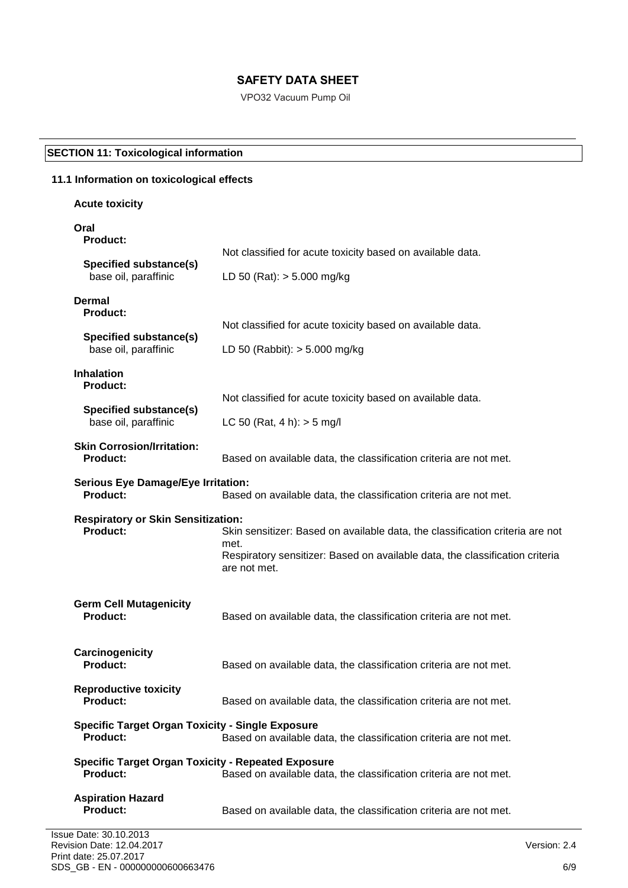VPO32 Vacuum Pump Oil

# **SECTION 11: Toxicological information**

# **11.1 Information on toxicological effects**

# **Acute toxicity**

# **Oral**

| <b>Product:</b>                                                              |                                                                                                                                                                                       |
|------------------------------------------------------------------------------|---------------------------------------------------------------------------------------------------------------------------------------------------------------------------------------|
| <b>Specified substance(s)</b>                                                | Not classified for acute toxicity based on available data.                                                                                                                            |
| base oil, paraffinic                                                         | LD 50 (Rat): $> 5.000$ mg/kg                                                                                                                                                          |
| Dermal<br><b>Product:</b>                                                    |                                                                                                                                                                                       |
| <b>Specified substance(s)</b>                                                | Not classified for acute toxicity based on available data.                                                                                                                            |
| base oil, paraffinic                                                         | LD 50 (Rabbit): $> 5.000$ mg/kg                                                                                                                                                       |
| <b>Inhalation</b><br><b>Product:</b>                                         |                                                                                                                                                                                       |
| <b>Specified substance(s)</b>                                                | Not classified for acute toxicity based on available data.                                                                                                                            |
| base oil, paraffinic                                                         | LC 50 (Rat, 4 h): $>$ 5 mg/l                                                                                                                                                          |
| <b>Skin Corrosion/Irritation:</b><br><b>Product:</b>                         | Based on available data, the classification criteria are not met.                                                                                                                     |
| <b>Serious Eye Damage/Eye Irritation:</b><br><b>Product:</b>                 | Based on available data, the classification criteria are not met.                                                                                                                     |
| <b>Respiratory or Skin Sensitization:</b><br><b>Product:</b>                 | Skin sensitizer: Based on available data, the classification criteria are not<br>met.<br>Respiratory sensitizer: Based on available data, the classification criteria<br>are not met. |
| <b>Germ Cell Mutagenicity</b><br><b>Product:</b>                             | Based on available data, the classification criteria are not met.                                                                                                                     |
| Carcinogenicity<br><b>Product:</b>                                           | Based on available data, the classification criteria are not met.                                                                                                                     |
| <b>Reproductive toxicity</b><br><b>Product:</b>                              | Based on available data, the classification criteria are not met.                                                                                                                     |
| <b>Specific Target Organ Toxicity - Single Exposure</b><br><b>Product:</b>   | Based on available data, the classification criteria are not met.                                                                                                                     |
| <b>Specific Target Organ Toxicity - Repeated Exposure</b><br><b>Product:</b> | Based on available data, the classification criteria are not met.                                                                                                                     |
| <b>Aspiration Hazard</b><br><b>Product:</b>                                  | Based on available data, the classification criteria are not met.                                                                                                                     |
| B Date: 30.10.2013                                                           |                                                                                                                                                                                       |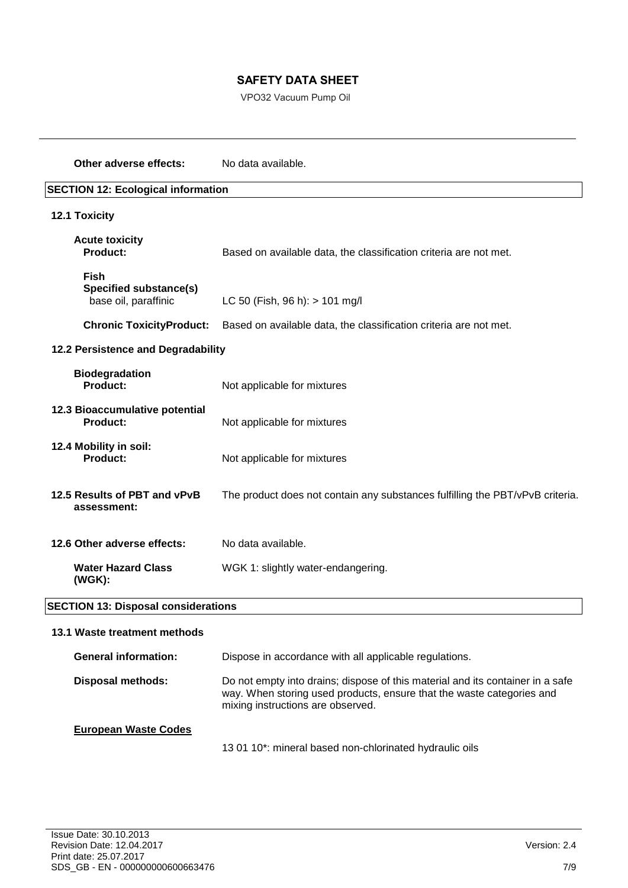VPO32 Vacuum Pump Oil

| Other adverse effects:                                               | No data available.                                                                                                                                                                           |
|----------------------------------------------------------------------|----------------------------------------------------------------------------------------------------------------------------------------------------------------------------------------------|
| <b>SECTION 12: Ecological information</b>                            |                                                                                                                                                                                              |
| 12.1 Toxicity                                                        |                                                                                                                                                                                              |
| <b>Acute toxicity</b><br><b>Product:</b>                             | Based on available data, the classification criteria are not met.                                                                                                                            |
| <b>Fish</b><br><b>Specified substance(s)</b><br>base oil, paraffinic | LC 50 (Fish, 96 h): > 101 mg/l                                                                                                                                                               |
| <b>Chronic ToxicityProduct:</b>                                      | Based on available data, the classification criteria are not met.                                                                                                                            |
| 12.2 Persistence and Degradability                                   |                                                                                                                                                                                              |
| <b>Biodegradation</b><br><b>Product:</b>                             | Not applicable for mixtures                                                                                                                                                                  |
| 12.3 Bioaccumulative potential<br><b>Product:</b>                    | Not applicable for mixtures                                                                                                                                                                  |
| 12.4 Mobility in soil:<br>Product:                                   | Not applicable for mixtures                                                                                                                                                                  |
| 12.5 Results of PBT and vPvB<br>assessment:                          | The product does not contain any substances fulfilling the PBT/vPvB criteria.                                                                                                                |
| 12.6 Other adverse effects:                                          | No data available.                                                                                                                                                                           |
| <b>Water Hazard Class</b><br>(WGK):                                  | WGK 1: slightly water-endangering.                                                                                                                                                           |
| <b>SECTION 13: Disposal considerations</b>                           |                                                                                                                                                                                              |
| 13.1 Waste treatment methods                                         |                                                                                                                                                                                              |
| <b>General information:</b>                                          | Dispose in accordance with all applicable regulations.                                                                                                                                       |
| <b>Disposal methods:</b>                                             | Do not empty into drains; dispose of this material and its container in a safe<br>way. When storing used products, ensure that the waste categories and<br>mixing instructions are observed. |
| <b>European Waste Codes</b>                                          |                                                                                                                                                                                              |

13 01 10\*: mineral based non-chlorinated hydraulic oils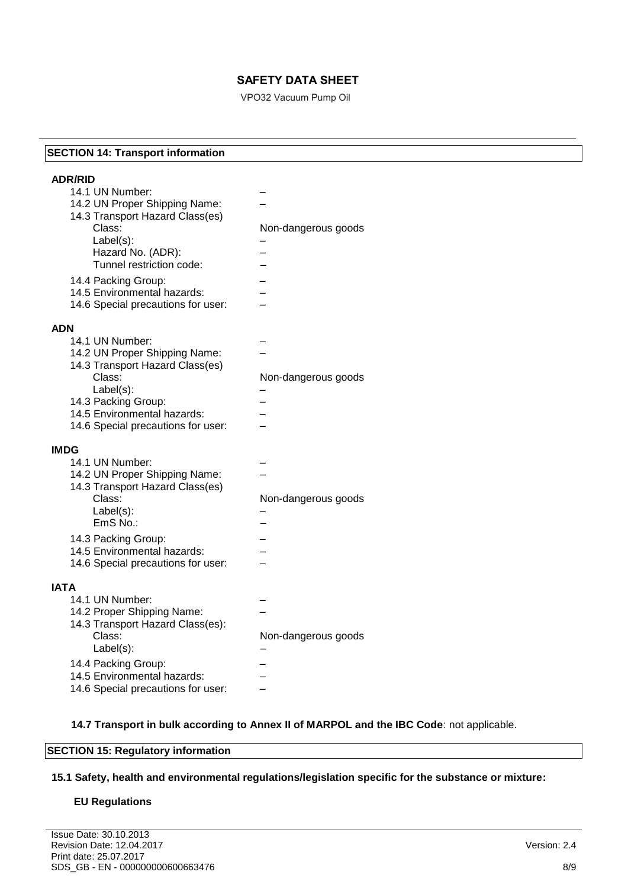VPO32 Vacuum Pump Oil

#### **SECTION 14: Transport information**

| <b>ADR/RID</b>                                                    |                     |
|-------------------------------------------------------------------|---------------------|
| 14.1 UN Number:                                                   |                     |
| 14.2 UN Proper Shipping Name:                                     |                     |
| 14.3 Transport Hazard Class(es)                                   |                     |
| Class:                                                            | Non-dangerous goods |
| Label(s):                                                         |                     |
| Hazard No. (ADR):<br>Tunnel restriction code:                     |                     |
|                                                                   |                     |
| 14.4 Packing Group:                                               |                     |
| 14.5 Environmental hazards:                                       |                     |
| 14.6 Special precautions for user:                                |                     |
| <b>ADN</b>                                                        |                     |
| 14.1 UN Number:                                                   |                     |
| 14.2 UN Proper Shipping Name:                                     |                     |
| 14.3 Transport Hazard Class(es)                                   |                     |
| Class:                                                            | Non-dangerous goods |
| Label(s):                                                         |                     |
| 14.3 Packing Group:                                               |                     |
| 14.5 Environmental hazards:                                       |                     |
| 14.6 Special precautions for user:                                |                     |
|                                                                   |                     |
|                                                                   |                     |
| <b>IMDG</b>                                                       |                     |
| 14.1 UN Number:                                                   |                     |
| 14.2 UN Proper Shipping Name:                                     |                     |
| 14.3 Transport Hazard Class(es)                                   |                     |
| Class:<br>Label(s):                                               | Non-dangerous goods |
| EmS No.:                                                          |                     |
|                                                                   |                     |
| 14.3 Packing Group:<br>14.5 Environmental hazards:                |                     |
| 14.6 Special precautions for user:                                |                     |
|                                                                   |                     |
| <b>IATA</b>                                                       |                     |
| 14.1 UN Number:                                                   |                     |
| 14.2 Proper Shipping Name:                                        |                     |
| 14.3 Transport Hazard Class(es):                                  |                     |
| Class:                                                            | Non-dangerous goods |
| Label(s):                                                         |                     |
| 14.4 Packing Group:                                               |                     |
| 14.5 Environmental hazards:<br>14.6 Special precautions for user: |                     |

**14.7 Transport in bulk according to Annex II of MARPOL and the IBC Code**: not applicable.

#### **SECTION 15: Regulatory information**

**15.1 Safety, health and environmental regulations/legislation specific for the substance or mixture:**

#### **EU Regulations**